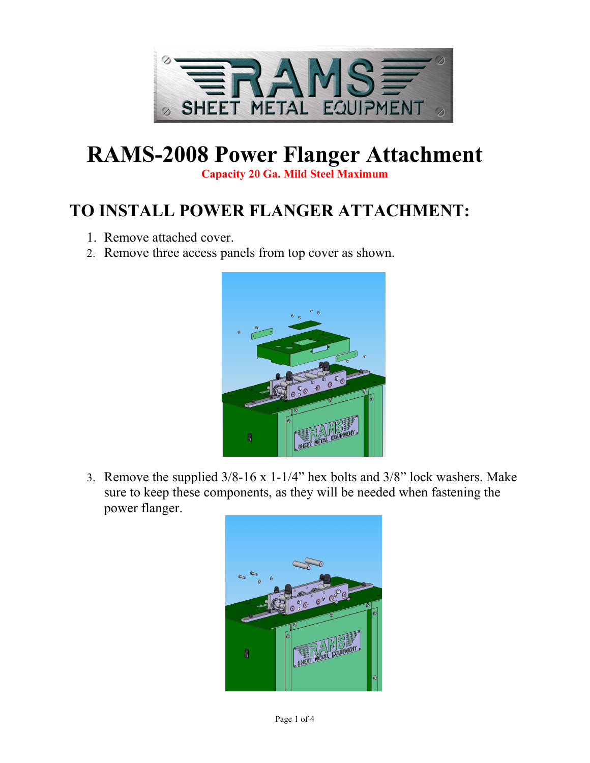

# **RAMS-2008 Power Flanger Attachment**

**Capacity 20 Ga. Mild Steel Maximum**

## **TO INSTALL POWER FLANGER ATTACHMENT:**

- 1. Remove attached cover.
- 2. Remove three access panels from top cover as shown.



3. Remove the supplied 3/8-16 x 1-1/4" hex bolts and 3/8" lock washers. Make sure to keep these components, as they will be needed when fastening the power flanger.

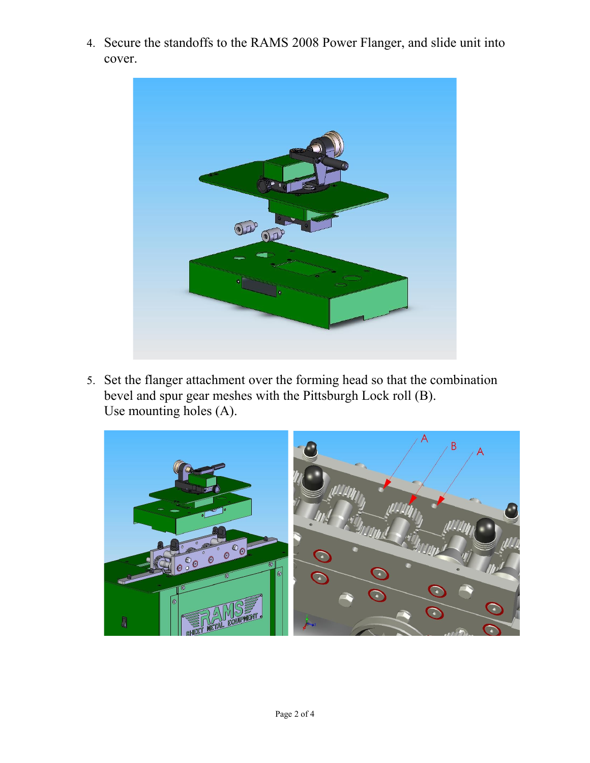4. Secure the standoffs to the RAMS 2008 Power Flanger, and slide unit into cover.



5. Set the flanger attachment over the forming head so that the combination bevel and spur gear meshes with the Pittsburgh Lock roll (B). Use mounting holes (A).

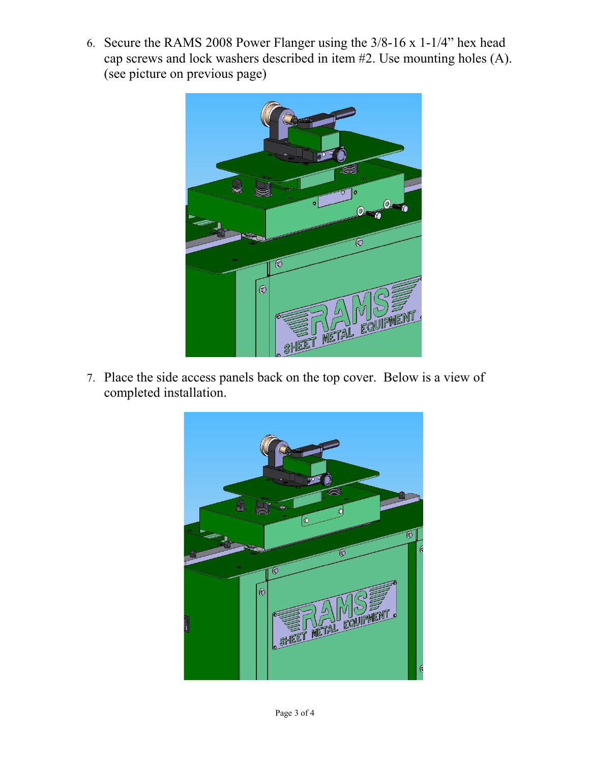6. Secure the RAMS 2008 Power Flanger using the 3/8-16 x 1-1/4" hex head cap screws and lock washers described in item #2. Use mounting holes (A). (see picture on previous page)



7. Place the side access panels back on the top cover. Below is a view of completed installation.